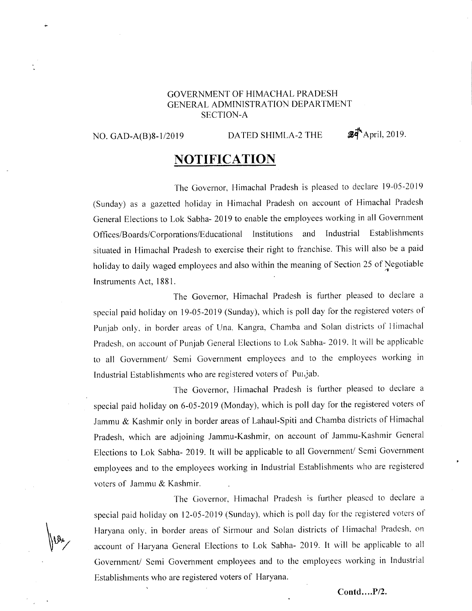## GOVERNMENT OF HIMACHAL PRADESH GENERAL ADMINISTRATION DEPARTMENT SECTION-A

 $\parallel$ .,

## NO. GAD-A(B)8-1/2019 DATED SHIMLA-2 THE  $\mathscr{B}\vec{\mathsf{d}}$ <sup>A</sup>April, 2019.

## **NOTIFICATION**

The Governor, Himachal Pradesh is pleased to declare l9-05-2019 (Sunday) as a gazetted holiday in Himachal Pradesh on account of Himachal Pradesh General Elections to Lok Sabha- 2019 to enable the employees working in all Government Offices/Boards/Corporations/Educational lnstitutions and Industrial Establishments situated in Himachal Pradesh to exercise their right to franchise. This will also be a paid holiday to daily waged employees and also within the meaning of Section 25 of Negotiable Instruments Act, 1881.

The Governor, Himachal Pradesh is further pleased to declare <sup>a</sup> special paid holiday on 19-05-2019 (Sunday), which is poll day for the registered voters of Punjab only, in border areas of Una, Kangra, Chamba and Solan districts of Himachal Pradesh, on account of Punjab General Elections to Lok Sabha- 2019. It will be applicable to all Government/ Semi Government employees and to the employees working in Industrial Establishments who are registered voters of Punjab.

The Governor, Himachal Pradesh is further pleased to declare a special paid holiday on 6-05-2019 (Monday), which is poll day for the registered voters of Jammu & Kashmir only in border areas of Lahaul-Spiti and Chamba districts of Himachal Pradesh, which are adjoining Jammu-Kashmir, on account of Jammu-Kashmir General Elections to Lok Sabha- 2019. It will be applicable to all Government/ Semi Government ernployees and to the employees working in Industrial Establishments who are registered voters of Jammu & Kashmir.

The Governor, Himachal Pradesh is further pleased to declare a special paid holiday on  $12-05-2019$  (Sunday), which is poll day for the registered voters of Haryana only, in border areas of Sirmour and Solan districts of Himacha! Pradesh, on account of Haryana General Elections to Lok Sabha- 2019. It will be applicable to all Government/ Semi Government employees and to the employees working in Industrial Establishments who are registered voters of Haryana.

Contd....P/2.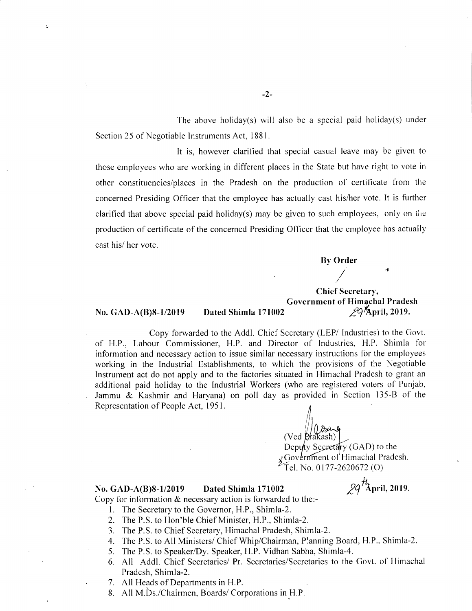The above holiday(s) will also be a special paid holiday(s) under Section 25 of Negotiable Instruments Act, 1881.

It is, however clarified that special casual leave may be given to those employees who are working in different places in the State but have right to vote in other constituencies/places in the Pradesh on the production of certificate from the concerned Presiding Officer that the employee has actually cast his/her vote. It is further clarified that above special paid holiday(s) may be given to such employees, only on the production of certificate of the concerned Presiding Officer that the employee has actually cast his/ her vote.

By Order

/4

Chief Secretary, Government of Himachal Pradesh<br>29th pril, 2019.

### No. GAD-A(B)8-l/2019 Dated Shimla 171002

t

Copy forwarded to the Addl. Chief Secretary (LEP/ Industries) to the Govt. of H.P., Labour Commissioner, H.P. and Director of Industries, H.P. Shimla for information and necessary action to issue similar necessary instructions for the employees working in the Industrial Establishments, to which the provisions of the Negotiable Instrument act do not apply and to the factories situated in Himachal Pradesh to grant an additional paid holiday to the Industrial Workers (who are registered voters of Punjab, Jammu & Kashmir and Haryana) on poll day as provided in Section 135-8 of the Representation of People Act, 195 L

 $(Ved)$ Deputy Secretary (GAD) to the  $\sqrt{x}$  Government of Himachal Pradesh. Tel. No. 0177-2620672 (O)

# No. GAD-A(B)8-1/2019 Dated Shimla 171002  $29^{tL}$ April, 2019.

Copy for information & necessary action is forwarded to the:-

- 1. The Secretary to the Governor, H.P., Shimla-2.
- 2. The P.S. to Hon'ble Chief Minister, H.P., Shimla-2.
- 3. 'fhe P.S. to Chief Secretary, Himachal Pradesh, Shimla-2.
- 4. The P.S. to All Ministers/ Chief Whip/Chairman, Planning Board. H.P., Shirnla-2.
- 5. The P.S. to Speaker/Dy. Speaker, H.P. Vidhan Sabha, Shimla-4.
- 6. All Addl. Chief Secretaries/ Pr. Secretaries/Secretaries to the Govt. of Hirnachal Pradesh, Shimla-2.
- 7. All Heads of Departments in H.P.
- 8. All M.bs./Chairmen. Boards/ Corporations in H.P.